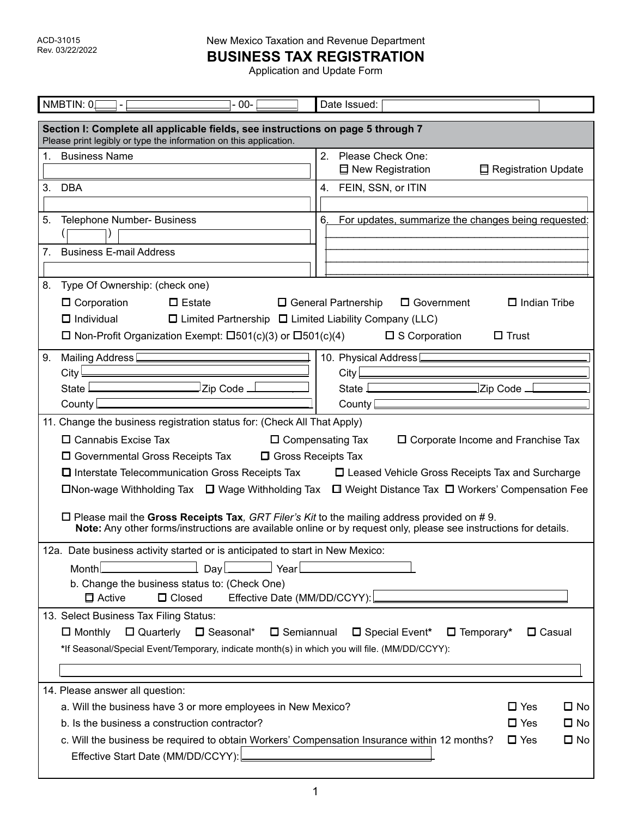**BUSINESS TAX REGISTRATION**

| NMBTIN: 0<br>$-00-$                                                                                                                                                                                                                                                                                                                                                                                                                                                                                                                                                                                                                                                                                                         | Date Issued:                                                      |  |  |  |  |
|-----------------------------------------------------------------------------------------------------------------------------------------------------------------------------------------------------------------------------------------------------------------------------------------------------------------------------------------------------------------------------------------------------------------------------------------------------------------------------------------------------------------------------------------------------------------------------------------------------------------------------------------------------------------------------------------------------------------------------|-------------------------------------------------------------------|--|--|--|--|
| Section I: Complete all applicable fields, see instructions on page 5 through 7<br>Please print legibly or type the information on this application.                                                                                                                                                                                                                                                                                                                                                                                                                                                                                                                                                                        |                                                                   |  |  |  |  |
| 1. Business Name                                                                                                                                                                                                                                                                                                                                                                                                                                                                                                                                                                                                                                                                                                            | 2. Please Check One:<br>口 New Registration<br>Registration Update |  |  |  |  |
| 3. DBA                                                                                                                                                                                                                                                                                                                                                                                                                                                                                                                                                                                                                                                                                                                      | 4. FEIN, SSN, or ITIN                                             |  |  |  |  |
|                                                                                                                                                                                                                                                                                                                                                                                                                                                                                                                                                                                                                                                                                                                             |                                                                   |  |  |  |  |
| 5.<br>Telephone Number- Business                                                                                                                                                                                                                                                                                                                                                                                                                                                                                                                                                                                                                                                                                            | 6. For updates, summarize the changes being requested:            |  |  |  |  |
| <b>Business E-mail Address</b><br>7.                                                                                                                                                                                                                                                                                                                                                                                                                                                                                                                                                                                                                                                                                        |                                                                   |  |  |  |  |
|                                                                                                                                                                                                                                                                                                                                                                                                                                                                                                                                                                                                                                                                                                                             |                                                                   |  |  |  |  |
| 8.<br>Type Of Ownership: (check one)<br>$\Box$ Estate<br>$\Box$ Corporation<br>□ General Partnership<br>$\Box$ Government<br>$\Box$ Indian Tribe<br>$\Box$ Individual<br>$\Box$ Limited Partnership $\Box$ Limited Liability Company (LLC)<br>$\Box$ Non-Profit Organization Exempt: $\Box 501(c)(3)$ or $\Box 501(c)(4)$ $\Box$ S Corporation<br>$\Box$ Trust                                                                                                                                                                                                                                                                                                                                                              |                                                                   |  |  |  |  |
| Mailing Address [<br>9.                                                                                                                                                                                                                                                                                                                                                                                                                                                                                                                                                                                                                                                                                                     | 10. Physical Address <sup>[</sup>                                 |  |  |  |  |
| City $\overline{\mathsf{C}}$                                                                                                                                                                                                                                                                                                                                                                                                                                                                                                                                                                                                                                                                                                |                                                                   |  |  |  |  |
| State <u>Learn and Zip</u> Code L                                                                                                                                                                                                                                                                                                                                                                                                                                                                                                                                                                                                                                                                                           | State $\square$<br>Zip Code _                                     |  |  |  |  |
| County                                                                                                                                                                                                                                                                                                                                                                                                                                                                                                                                                                                                                                                                                                                      | County                                                            |  |  |  |  |
| 11. Change the business registration status for: (Check All That Apply)<br>$\Box$ Cannabis Excise Tax<br>$\Box$ Compensating Tax<br>$\square$ Corporate Income and Franchise Tax<br>$\square$ Governmental Gross Receipts Tax<br>□ Gross Receipts Tax<br>$\square$ Interstate Telecommunication Gross Receipts Tax<br>□ Leased Vehicle Gross Receipts Tax and Surcharge<br>$\Box$ Non-wage Withholding Tax $\Box$ Wage Withholding Tax $\Box$ Weight Distance Tax $\Box$ Workers' Compensation Fee<br>$\Box$ Please mail the Gross Receipts Tax, GRT Filer's Kit to the mailing address provided on #9.<br>Note: Any other forms/instructions are available online or by request only, please see instructions for details. |                                                                   |  |  |  |  |
| 12a. Date business activity started or is anticipated to start in New Mexico:<br>Month<br>DayL<br>Year<br>b. Change the business status to: (Check One)                                                                                                                                                                                                                                                                                                                                                                                                                                                                                                                                                                     |                                                                   |  |  |  |  |
| Effective Date (MM/DD/CCYY):<br>$\Box$ Active<br>$\Box$ Closed                                                                                                                                                                                                                                                                                                                                                                                                                                                                                                                                                                                                                                                              |                                                                   |  |  |  |  |
| 13. Select Business Tax Filing Status:<br>$\Box$ Quarterly<br>$\Box$ Seasonal* $\Box$ Semiannual<br>$\Box$ Temporary*<br>$\Box$ Monthly<br>□ Special Event*<br>$\Box$ Casual<br>*If Seasonal/Special Event/Temporary, indicate month(s) in which you will file. (MM/DD/CCYY):                                                                                                                                                                                                                                                                                                                                                                                                                                               |                                                                   |  |  |  |  |
| 14. Please answer all question:                                                                                                                                                                                                                                                                                                                                                                                                                                                                                                                                                                                                                                                                                             |                                                                   |  |  |  |  |
| a. Will the business have 3 or more employees in New Mexico?                                                                                                                                                                                                                                                                                                                                                                                                                                                                                                                                                                                                                                                                | $\square$ No<br>$\Box$ Yes                                        |  |  |  |  |
| b. Is the business a construction contractor?                                                                                                                                                                                                                                                                                                                                                                                                                                                                                                                                                                                                                                                                               | $\square$ Yes<br>$\square$ No                                     |  |  |  |  |
| c. Will the business be required to obtain Workers' Compensation Insurance within 12 months?<br>Effective Start Date (MM/DD/CCYY):                                                                                                                                                                                                                                                                                                                                                                                                                                                                                                                                                                                          | $\square$ No<br>$\Box$ Yes                                        |  |  |  |  |
|                                                                                                                                                                                                                                                                                                                                                                                                                                                                                                                                                                                                                                                                                                                             |                                                                   |  |  |  |  |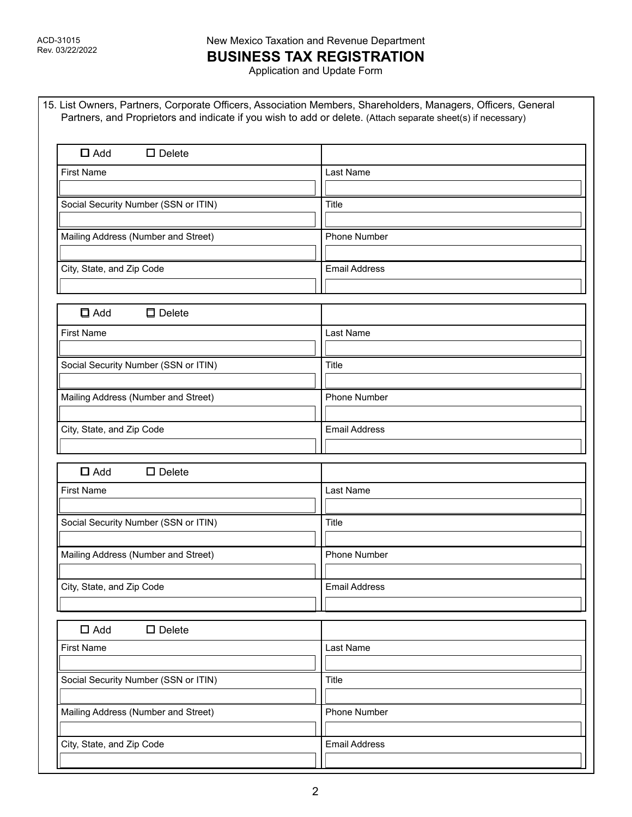# New Mexico Taxation and Revenue Department **BUSINESS TAX REGISTRATION**

| $\square$ Add<br>$\square$ Delete    |                      |  |
|--------------------------------------|----------------------|--|
| <b>First Name</b>                    | Last Name            |  |
|                                      |                      |  |
| Social Security Number (SSN or ITIN) | Title                |  |
|                                      |                      |  |
| Mailing Address (Number and Street)  | <b>Phone Number</b>  |  |
| City, State, and Zip Code            | <b>Email Address</b> |  |
|                                      |                      |  |
| $\Box$ Add<br>$\Box$ Delete          |                      |  |
| <b>First Name</b>                    | Last Name            |  |
|                                      |                      |  |
| Social Security Number (SSN or ITIN) | <b>Title</b>         |  |
|                                      |                      |  |
| Mailing Address (Number and Street)  | <b>Phone Number</b>  |  |
| City, State, and Zip Code            | <b>Email Address</b> |  |
|                                      |                      |  |
| $\square$ Add<br>$\square$ Delete    |                      |  |
| <b>First Name</b>                    | Last Name            |  |
|                                      |                      |  |
| Social Security Number (SSN or ITIN) | Title                |  |
| Mailing Address (Number and Street)  | <b>Phone Number</b>  |  |
|                                      |                      |  |
| City, State, and Zip Code            | <b>Email Address</b> |  |
|                                      |                      |  |
| $\Box$ Add<br>$\Box$ Delete          |                      |  |
| <b>First Name</b>                    | Last Name            |  |
|                                      |                      |  |
| Social Security Number (SSN or ITIN) | Title                |  |
| Mailing Address (Number and Street)  | <b>Phone Number</b>  |  |
|                                      |                      |  |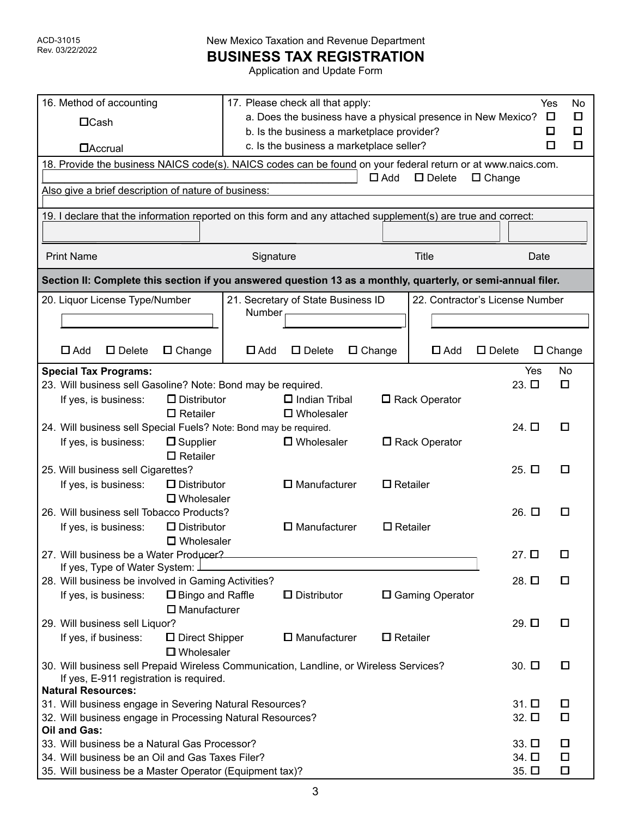**BUSINESS TAX REGISTRATION**

| 16. Method of accounting                                                                                      | 17. Please check all that apply:<br>Yes<br>No<br>a. Does the business have a physical presence in New Mexico?<br>O |                                    |               | ◻                  |                                 |                  |                 |                  |
|---------------------------------------------------------------------------------------------------------------|--------------------------------------------------------------------------------------------------------------------|------------------------------------|---------------|--------------------|---------------------------------|------------------|-----------------|------------------|
| $\Box$ Cash                                                                                                   | b. Is the business a marketplace provider?<br>□                                                                    |                                    |               | ◻                  |                                 |                  |                 |                  |
| <b>DAccrual</b>                                                                                               | c. Is the business a marketplace seller?<br>◘                                                                      |                                    |               | о                  |                                 |                  |                 |                  |
|                                                                                                               |                                                                                                                    |                                    |               |                    |                                 |                  |                 |                  |
| 18. Provide the business NAICS code(s). NAICS codes can be found on your federal return or at www.naics.com.  |                                                                                                                    |                                    |               | $\Box$ Add         | $\square$ Delete                | $\Box$ Change    |                 |                  |
| Also give a brief description of nature of business:                                                          |                                                                                                                    |                                    |               |                    |                                 |                  |                 |                  |
| 19. I declare that the information reported on this form and any attached supplement(s) are true and correct: |                                                                                                                    |                                    |               |                    |                                 |                  |                 |                  |
|                                                                                                               |                                                                                                                    |                                    |               |                    |                                 |                  |                 |                  |
|                                                                                                               |                                                                                                                    |                                    |               |                    |                                 |                  |                 |                  |
| <b>Print Name</b>                                                                                             | Signature                                                                                                          |                                    |               |                    | <b>Title</b>                    |                  | Date            |                  |
| Section II: Complete this section if you answered question 13 as a monthly, quarterly, or semi-annual filer.  |                                                                                                                    |                                    |               |                    |                                 |                  |                 |                  |
| 20. Liquor License Type/Number                                                                                |                                                                                                                    | 21. Secretary of State Business ID |               |                    | 22. Contractor's License Number |                  |                 |                  |
|                                                                                                               | Number                                                                                                             |                                    |               |                    |                                 |                  |                 |                  |
|                                                                                                               |                                                                                                                    |                                    |               |                    |                                 |                  |                 |                  |
| $\Box$ Add<br>$\square$ Delete<br>$\Box$ Change                                                               | $\Box$ Add                                                                                                         | $\square$ Delete                   | $\Box$ Change |                    | $\Box$ Add                      | $\square$ Delete |                 | $\square$ Change |
| <b>Special Tax Programs:</b>                                                                                  |                                                                                                                    |                                    |               |                    |                                 |                  | Yes             | <b>No</b>        |
| 23. Will business sell Gasoline? Note: Bond may be required.                                                  |                                                                                                                    |                                    |               |                    |                                 | $23. \Box$       |                 | ◘                |
| $\Box$ Distributor<br>If yes, is business:                                                                    |                                                                                                                    | $\Box$ Indian Tribal               |               |                    | □ Rack Operator                 |                  |                 |                  |
| $\Box$ Retailer                                                                                               |                                                                                                                    | $\square$ Wholesaler               |               |                    |                                 |                  |                 |                  |
| 24. Will business sell Special Fuels? Note: Bond may be required.                                             |                                                                                                                    |                                    |               |                    |                                 | 24. $\square$    |                 | □                |
| $\square$ Supplier<br>If yes, is business:                                                                    |                                                                                                                    | <b>D</b> Wholesaler                |               |                    | □ Rack Operator                 |                  |                 |                  |
| $\square$ Retailer                                                                                            |                                                                                                                    |                                    |               |                    |                                 |                  |                 |                  |
| 25. Will business sell Cigarettes?                                                                            |                                                                                                                    |                                    |               |                    |                                 | $25.$ $\square$  |                 | О                |
| If yes, is business:<br>D Distributor                                                                         |                                                                                                                    | $\square$ Manufacturer             |               | $\Box$ Retailer    |                                 |                  |                 |                  |
| $\square$ Wholesaler                                                                                          |                                                                                                                    |                                    |               |                    |                                 |                  |                 |                  |
| 26. Will business sell Tobacco Products?                                                                      |                                                                                                                    |                                    |               |                    |                                 | 26. □            |                 | □                |
| $\Box$ Distributor<br>If yes, is business:                                                                    |                                                                                                                    | $\square$ Manufacturer             |               | $\square$ Retailer |                                 |                  |                 |                  |
| $\square$ Wholesaler                                                                                          |                                                                                                                    |                                    |               |                    |                                 |                  |                 |                  |
| 27. Will business be a Water Producer?                                                                        |                                                                                                                    |                                    |               |                    |                                 | $27.$ $\square$  |                 |                  |
| If yes, Type of Water System: J                                                                               |                                                                                                                    |                                    |               |                    |                                 |                  |                 |                  |
| 28. Will business be involved in Gaming Activities?                                                           |                                                                                                                    |                                    |               |                    |                                 | 28. $\square$    |                 | O                |
| □ Bingo and Raffle<br>If yes, is business:                                                                    |                                                                                                                    | D Distributor                      |               |                    | □ Gaming Operator               |                  |                 |                  |
| $\square$ Manufacturer                                                                                        |                                                                                                                    |                                    |               |                    |                                 |                  |                 |                  |
| 29. Will business sell Liquor?                                                                                |                                                                                                                    |                                    |               |                    |                                 | 29. $\square$    |                 | $\Box$           |
| If yes, if business:<br>D Direct Shipper                                                                      |                                                                                                                    | $\square$ Manufacturer             |               | $\square$ Retailer |                                 |                  |                 |                  |
| <b>U</b> Wholesaler                                                                                           |                                                                                                                    |                                    |               |                    |                                 |                  |                 |                  |
| 30. Will business sell Prepaid Wireless Communication, Landline, or Wireless Services?                        |                                                                                                                    |                                    |               |                    |                                 | 30. $\square$    |                 | □                |
| If yes, E-911 registration is required.                                                                       |                                                                                                                    |                                    |               |                    |                                 |                  |                 |                  |
| <b>Natural Resources:</b>                                                                                     |                                                                                                                    |                                    |               |                    |                                 |                  | $31.$ $\square$ | 0                |
| 31. Will business engage in Severing Natural Resources?                                                       |                                                                                                                    |                                    |               |                    |                                 |                  |                 | $\Box$           |
| 32. Will business engage in Processing Natural Resources?<br>$32. \square$<br>Oil and Gas:                    |                                                                                                                    |                                    |               |                    |                                 |                  |                 |                  |
| 33. Will business be a Natural Gas Processor?                                                                 |                                                                                                                    |                                    |               |                    |                                 |                  | 33. $\Box$      | □                |
| 34. Will business be an Oil and Gas Taxes Filer?                                                              |                                                                                                                    |                                    |               |                    |                                 |                  | 34. □           | $\Box$           |
| 35. Will business be a Master Operator (Equipment tax)?                                                       |                                                                                                                    |                                    |               |                    |                                 |                  | 35. $\Box$      | Ο                |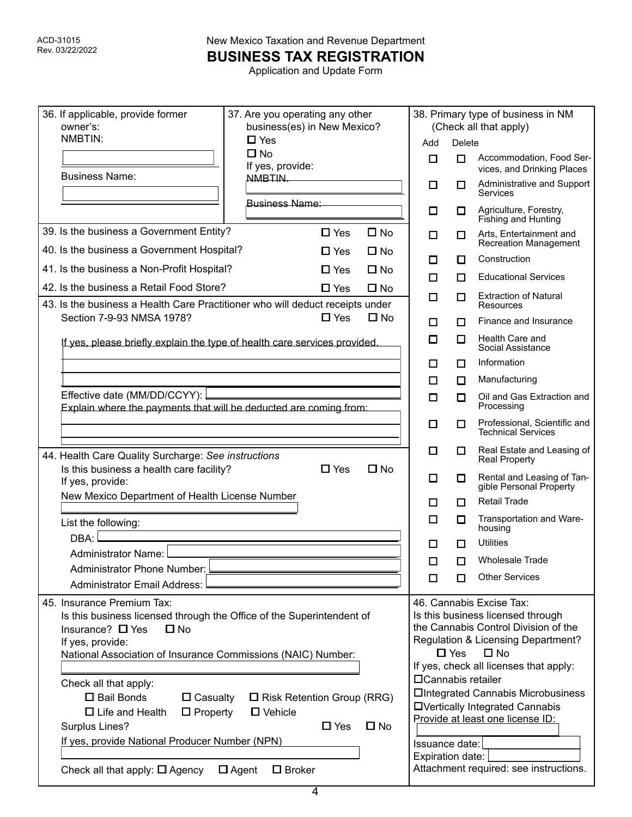**BUSINESS TAX REGISTRATION**

| 36. If applicable, provide former<br>owner's:                                                                                                                                                                                    | 37. Are you operating any other<br>business(es) in New Mexico?                                                        |                                    | 38. Primary type of business in NM<br>(Check all that apply)                                                                                                                                                        |                                                                                                                                                                                          |  |  |
|----------------------------------------------------------------------------------------------------------------------------------------------------------------------------------------------------------------------------------|-----------------------------------------------------------------------------------------------------------------------|------------------------------------|---------------------------------------------------------------------------------------------------------------------------------------------------------------------------------------------------------------------|------------------------------------------------------------------------------------------------------------------------------------------------------------------------------------------|--|--|
| NMBTIN:                                                                                                                                                                                                                          | $\Box$ Yes                                                                                                            | Add                                | Delete                                                                                                                                                                                                              |                                                                                                                                                                                          |  |  |
|                                                                                                                                                                                                                                  | $\square$ No<br>If yes, provide:                                                                                      | $\Box$                             | $\Box$                                                                                                                                                                                                              | Accommodation, Food Ser-<br>vices, and Drinking Places                                                                                                                                   |  |  |
| <b>Business Name:</b>                                                                                                                                                                                                            | NMBTIN.                                                                                                               | $\Box$                             | □                                                                                                                                                                                                                   | Administrative and Support<br>Services                                                                                                                                                   |  |  |
|                                                                                                                                                                                                                                  | <b>Business Name:</b>                                                                                                 | □                                  | П                                                                                                                                                                                                                   | Agriculture, Forestry,<br>Fishing and Hunting                                                                                                                                            |  |  |
| 39. Is the business a Government Entity?                                                                                                                                                                                         | $\Box$ No<br>$\Box$ Yes                                                                                               | □                                  | 0                                                                                                                                                                                                                   | Arts, Entertainment and<br><b>Recreation Management</b>                                                                                                                                  |  |  |
| 40. Is the business a Government Hospital?                                                                                                                                                                                       | $\square$ No<br>$\Box$ Yes                                                                                            | □                                  | П                                                                                                                                                                                                                   | Construction                                                                                                                                                                             |  |  |
| 41. Is the business a Non-Profit Hospital?                                                                                                                                                                                       | $\Box$ No<br>$\Box$ Yes                                                                                               | П                                  | п                                                                                                                                                                                                                   | <b>Educational Services</b>                                                                                                                                                              |  |  |
| 42. Is the business a Retail Food Store?                                                                                                                                                                                         | $\square$ No<br>$\Box$ Yes                                                                                            | □                                  | □                                                                                                                                                                                                                   | <b>Extraction of Natural</b>                                                                                                                                                             |  |  |
| 43. Is the business a Health Care Practitioner who will deduct receipts under                                                                                                                                                    |                                                                                                                       |                                    |                                                                                                                                                                                                                     | Resources                                                                                                                                                                                |  |  |
| Section 7-9-93 NMSA 1978?                                                                                                                                                                                                        | $\square$ No<br>$\Box$ Yes                                                                                            | □                                  | п                                                                                                                                                                                                                   | Finance and Insurance                                                                                                                                                                    |  |  |
| If yes, please briefly explain the type of health care services provided.                                                                                                                                                        |                                                                                                                       | □                                  | $\Box$                                                                                                                                                                                                              | Health Care and<br>Social Assistance                                                                                                                                                     |  |  |
|                                                                                                                                                                                                                                  |                                                                                                                       | □                                  | □                                                                                                                                                                                                                   | Information                                                                                                                                                                              |  |  |
|                                                                                                                                                                                                                                  |                                                                                                                       | $\Box$                             | п                                                                                                                                                                                                                   | Manufacturing                                                                                                                                                                            |  |  |
| Effective date (MM/DD/CCYY):<br>Explain where the payments that will be deducted are coming from:                                                                                                                                |                                                                                                                       |                                    | $\Box$                                                                                                                                                                                                              | Oil and Gas Extraction and<br>Processing                                                                                                                                                 |  |  |
|                                                                                                                                                                                                                                  |                                                                                                                       | □                                  | $\Box$                                                                                                                                                                                                              | Professional, Scientific and<br><b>Technical Services</b>                                                                                                                                |  |  |
| 44. Health Care Quality Surcharge: See instructions                                                                                                                                                                              |                                                                                                                       | □                                  | □                                                                                                                                                                                                                   | Real Estate and Leasing of<br><b>Real Property</b>                                                                                                                                       |  |  |
| Is this business a health care facility?<br>If yes, provide:                                                                                                                                                                     | $\square$ No<br>$\Box$ Yes                                                                                            | □                                  | □                                                                                                                                                                                                                   | Rental and Leasing of Tan-<br>gible Personal Property                                                                                                                                    |  |  |
| New Mexico Department of Health License Number                                                                                                                                                                                   |                                                                                                                       | □                                  | п                                                                                                                                                                                                                   | <b>Retail Trade</b>                                                                                                                                                                      |  |  |
| List the following:                                                                                                                                                                                                              |                                                                                                                       | □                                  | $\Box$                                                                                                                                                                                                              | Transportation and Ware-<br>housing                                                                                                                                                      |  |  |
| DBA:                                                                                                                                                                                                                             |                                                                                                                       | $\Box$                             | П                                                                                                                                                                                                                   | <b>Utilities</b>                                                                                                                                                                         |  |  |
| Administrator Name:                                                                                                                                                                                                              |                                                                                                                       | П                                  | п                                                                                                                                                                                                                   | <b>Wholesale Trade</b>                                                                                                                                                                   |  |  |
| Administrator Phone Number:                                                                                                                                                                                                      |                                                                                                                       | □                                  | П                                                                                                                                                                                                                   | <b>Other Services</b>                                                                                                                                                                    |  |  |
| <b>Administrator Email Address:</b>                                                                                                                                                                                              |                                                                                                                       |                                    |                                                                                                                                                                                                                     |                                                                                                                                                                                          |  |  |
| 45. Insurance Premium Tax:<br>Is this business licensed through the Office of the Superintendent of<br>Insurance? $\Box$ Yes<br>$\square$ No<br>If yes, provide:<br>National Association of Insurance Commissions (NAIC) Number: |                                                                                                                       |                                    | 46. Cannabis Excise Tax:<br>Is this business licensed through<br>the Cannabis Control Division of the<br>Regulation & Licensing Department?<br>$\Box$ No<br>$\square$ Yes<br>If yes, check all licenses that apply: |                                                                                                                                                                                          |  |  |
| Check all that apply:<br>□ Bail Bonds<br>$\Box$ Casualty<br>$\Box$ Life and Health<br>$\Box$ Property<br>Surplus Lines?<br>If yes, provide National Producer Number (NPN)<br>Check all that apply: $\Box$ Agency                 | $\Box$ Risk Retention Group (RRG)<br>$\Box$ Vehicle<br>$\Box$ Yes<br>$\square$ No<br>$\Box$ Agent<br>$\square$ Broker | Issuance date:<br>Expiration date: |                                                                                                                                                                                                                     | □ Cannabis retailer<br><b>OIntegrated Cannabis Microbusiness</b><br><b>OVertically Integrated Cannabis</b><br>Provide at least one license ID:<br>Attachment required: see instructions. |  |  |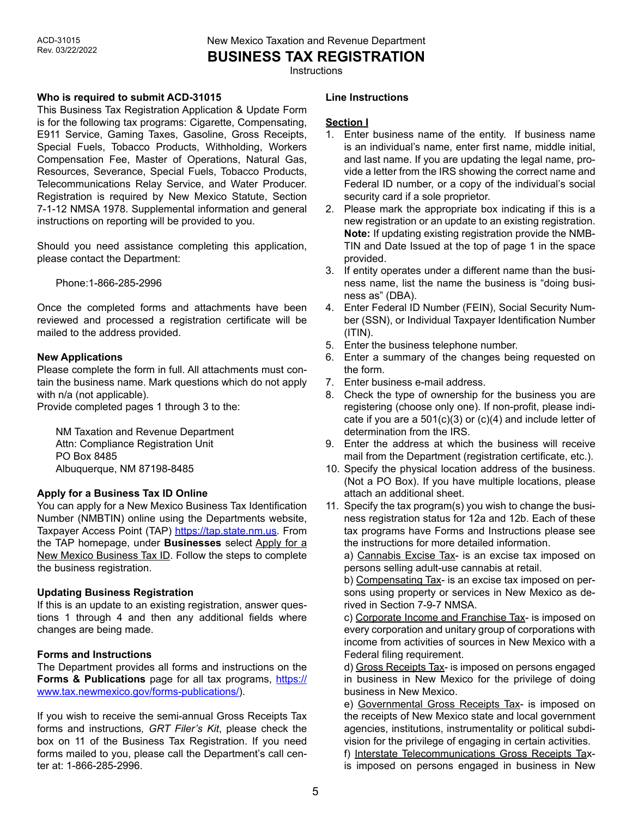**BUSINESS TAX REGISTRATION**

**Instructions** 

## **Who is required to submit ACD-31015**

This Business Tax Registration Application & Update Form is for the following tax programs: Cigarette, Compensating, E911 Service, Gaming Taxes, Gasoline, Gross Receipts, Special Fuels, Tobacco Products, Withholding, Workers Compensation Fee, Master of Operations, Natural Gas, Resources, Severance, Special Fuels, Tobacco Products, Telecommunications Relay Service, and Water Producer. Registration is required by New Mexico Statute, Section 7-1-12 NMSA 1978. Supplemental information and general instructions on reporting will be provided to you.

Should you need assistance completing this application, please contact the Department:

Phone:1-866-285-2996

Once the completed forms and attachments have been reviewed and processed a registration certificate will be mailed to the address provided.

## **New Applications**

Please complete the form in full. All attachments must contain the business name. Mark questions which do not apply with n/a (not applicable).

Provide completed pages 1 through 3 to the:

NM Taxation and Revenue Department Attn: Compliance Registration Unit PO Box 8485 Albuquerque, NM 87198-8485

# **Apply for a Business Tax ID Online**

You can apply for a New Mexico Business Tax Identification Number (NMBTIN) online using the Departments website, Taxpayer Access Point (TAP) <https://tap.state.nm.us>. From the TAP homepage, under **Businesses** select Apply for a New Mexico Business Tax ID. Follow the steps to complete the business registration.

# **Updating Business Registration**

If this is an update to an existing registration, answer questions 1 through 4 and then any additional fields where changes are being made.

# **Forms and Instructions**

The Department provides all forms and instructions on the **Forms & Publications** page for all tax programs, [https://](https://www.tax.newmexico.gov/forms-publications/) [www.tax.newmexico.gov/forms-publications/\)](https://www.tax.newmexico.gov/forms-publications/).

If you wish to receive the semi-annual Gross Receipts Tax forms and instructions*, GRT Filer's Kit*, please check the box on 11 of the Business Tax Registration. If you need forms mailed to you, please call the Department's call center at: 1-866-285-2996.

#### **Line Instructions**

## **Section I**

- 1. Enter business name of the entity. If business name is an individual's name, enter first name, middle initial, and last name. If you are updating the legal name, provide a letter from the IRS showing the correct name and Federal ID number, or a copy of the individual's social security card if a sole proprietor.
- 2. Please mark the appropriate box indicating if this is a new registration or an update to an existing registration. **Note:** If updating existing registration provide the NMB-TIN and Date Issued at the top of page 1 in the space provided.
- 3. If entity operates under a different name than the business name, list the name the business is "doing business as" (DBA).
- 4. Enter Federal ID Number (FEIN), Social Security Number (SSN), or Individual Taxpayer Identification Number  $(ITIN)$ .
- 5. Enter the business telephone number.
- 6. Enter a summary of the changes being requested on the form.
- 7. Enter business e-mail address.
- 8. Check the type of ownership for the business you are registering (choose only one). If non-profit, please indicate if you are a  $501(c)(3)$  or  $(c)(4)$  and include letter of determination from the IRS.
- 9. Enter the address at which the business will receive mail from the Department (registration certificate, etc.).
- 10. Specify the physical location address of the business. (Not a PO Box). If you have multiple locations, please attach an additional sheet.
- 11. Specify the tax program(s) you wish to change the business registration status for 12a and 12b. Each of these tax programs have Forms and Instructions please see the instructions for more detailed information.

a) Cannabis Excise Tax- is an excise tax imposed on persons selling adult-use cannabis at retail.

b) Compensating Tax- is an excise tax imposed on persons using property or services in New Mexico as derived in Section 7-9-7 NMSA.

c) Corporate Income and Franchise Tax- is imposed on every corporation and unitary group of corporations with income from activities of sources in New Mexico with a Federal filing requirement.

d) Gross Receipts Tax- is imposed on persons engaged in business in New Mexico for the privilege of doing business in New Mexico.

e) Governmental Gross Receipts Tax- is imposed on the receipts of New Mexico state and local government agencies, institutions, instrumentality or political subdivision for the privilege of engaging in certain activities.

f) Interstate Telecommunications Gross Receipts Taxis imposed on persons engaged in business in New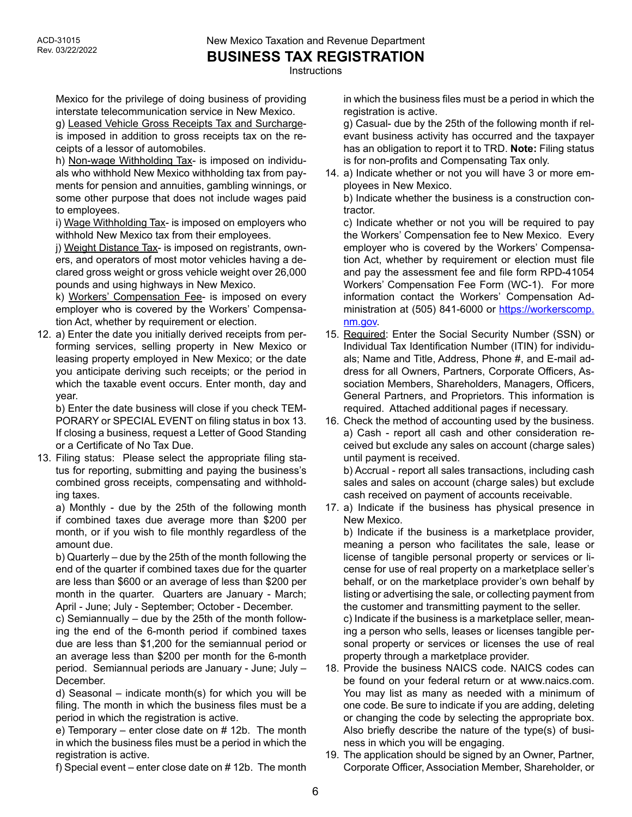**Instructions** 

Mexico for the privilege of doing business of providing interstate telecommunication service in New Mexico.

g) Leased Vehicle Gross Receipts Tax and Surchargeis imposed in addition to gross receipts tax on the receipts of a lessor of automobiles.

h) Non-wage Withholding Tax- is imposed on individuals who withhold New Mexico withholding tax from payments for pension and annuities, gambling winnings, or some other purpose that does not include wages paid to employees.

i) Wage Withholding Tax- is imposed on employers who withhold New Mexico tax from their employees.

j) Weight Distance Tax- is imposed on registrants, owners, and operators of most motor vehicles having a declared gross weight or gross vehicle weight over 26,000 pounds and using highways in New Mexico.

k) Workers' Compensation Fee- is imposed on every employer who is covered by the Workers' Compensation Act, whether by requirement or election.

12. a) Enter the date you initially derived receipts from performing services, selling property in New Mexico or leasing property employed in New Mexico; or the date you anticipate deriving such receipts; or the period in which the taxable event occurs. Enter month, day and year.

b) Enter the date business will close if you check TEM-PORARY or SPECIAL EVENT on filing status in box 13. If closing a business, request a Letter of Good Standing or a Certificate of No Tax Due.

13. Filing status: Please select the appropriate filing status for reporting, submitting and paying the business's combined gross receipts, compensating and withholding taxes.

a) Monthly - due by the 25th of the following month if combined taxes due average more than \$200 per month, or if you wish to file monthly regardless of the amount due.

b) Quarterly – due by the 25th of the month following the end of the quarter if combined taxes due for the quarter are less than \$600 or an average of less than \$200 per month in the quarter. Quarters are January - March; April - June; July - September; October - December.

c) Semiannually – due by the 25th of the month following the end of the 6-month period if combined taxes due are less than \$1,200 for the semiannual period or an average less than \$200 per month for the 6-month period. Semiannual periods are January - June; July – December.

d) Seasonal – indicate month(s) for which you will be filing. The month in which the business files must be a period in which the registration is active.

e) Temporary – enter close date on # 12b. The month in which the business files must be a period in which the registration is active.

f) Special event – enter close date on # 12b. The month

in which the business files must be a period in which the registration is active.

g) Casual- due by the 25th of the following month if relevant business activity has occurred and the taxpayer has an obligation to report it to TRD. **Note:** Filing status is for non-profits and Compensating Tax only.

14. a) Indicate whether or not you will have 3 or more employees in New Mexico.

b) Indicate whether the business is a construction contractor.

c) Indicate whether or not you will be required to pay the Workers' Compensation fee to New Mexico. Every employer who is covered by the Workers' Compensation Act, whether by requirement or election must file and pay the assessment fee and file form RPD-41054 Workers' Compensation Fee Form (WC-1). For more information contact the Workers' Compensation Administration at (505) 841-6000 or [https://workerscomp.](https://workerscomp.nm.gov) [nm.gov](https://workerscomp.nm.gov).

- 15. Required: Enter the Social Security Number (SSN) or Individual Tax Identification Number (ITIN) for individuals; Name and Title, Address, Phone #, and E-mail address for all Owners, Partners, Corporate Officers, Association Members, Shareholders, Managers, Officers, General Partners, and Proprietors. This information is required. Attached additional pages if necessary.
- 16. Check the method of accounting used by the business. a) Cash - report all cash and other consideration received but exclude any sales on account (charge sales) until payment is received.

b) Accrual - report all sales transactions, including cash sales and sales on account (charge sales) but exclude cash received on payment of accounts receivable.

17. a) Indicate if the business has physical presence in New Mexico.

b) Indicate if the business is a marketplace provider, meaning a person who facilitates the sale, lease or license of tangible personal property or services or license for use of real property on a marketplace seller's behalf, or on the marketplace provider's own behalf by listing or advertising the sale, or collecting payment from the customer and transmitting payment to the seller. c) Indicate if the business is a marketplace seller, meaning a person who sells, leases or licenses tangible personal property or services or licenses the use of real property through a marketplace provider.

- 18. Provide the business NAICS code. NAICS codes can be found on your federal return or at www.naics.com. You may list as many as needed with a minimum of one code. Be sure to indicate if you are adding, deleting or changing the code by selecting the appropriate box. Also briefly describe the nature of the type(s) of business in which you will be engaging.
- 19. The application should be signed by an Owner, Partner, Corporate Officer, Association Member, Shareholder, or